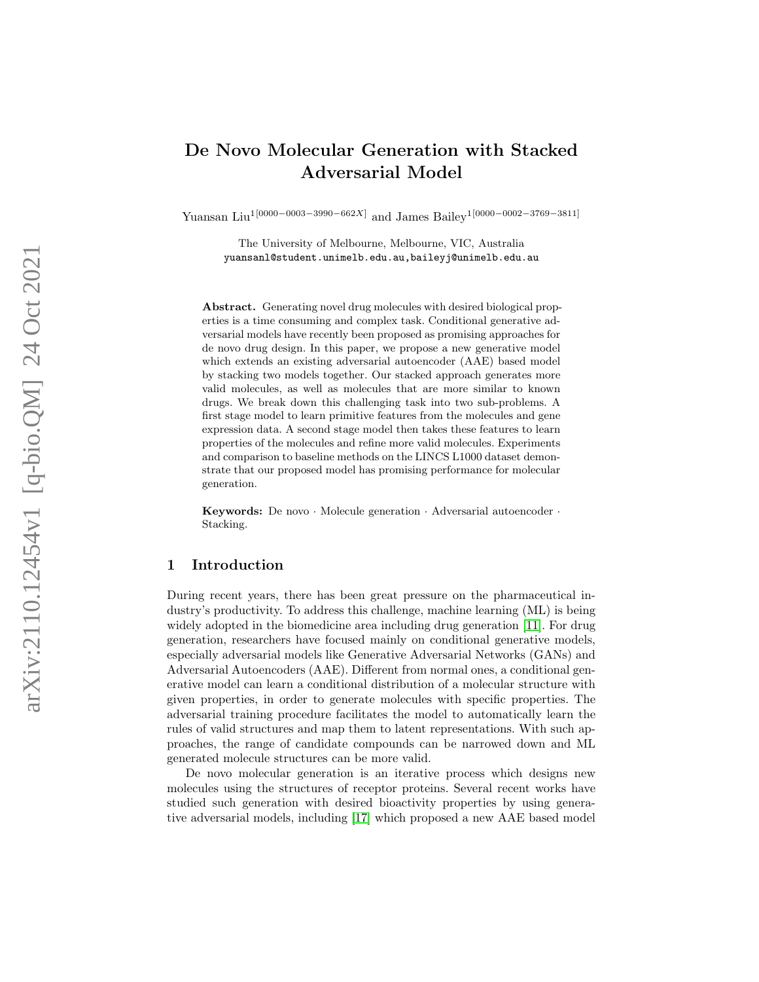# De Novo Molecular Generation with Stacked Adversarial Model

Yuansan Liu<sup>1</sup><sup>[0000–0003–3990–662X]</sup> and James Bailey<sup>1</sup><sup>[0000–0002–3769–3811]</sup>

The University of Melbourne, Melbourne, VIC, Australia yuansanl@student.unimelb.edu.au,baileyj@unimelb.edu.au

Abstract. Generating novel drug molecules with desired biological properties is a time consuming and complex task. Conditional generative adversarial models have recently been proposed as promising approaches for de novo drug design. In this paper, we propose a new generative model which extends an existing adversarial autoencoder (AAE) based model by stacking two models together. Our stacked approach generates more valid molecules, as well as molecules that are more similar to known drugs. We break down this challenging task into two sub-problems. A first stage model to learn primitive features from the molecules and gene expression data. A second stage model then takes these features to learn properties of the molecules and refine more valid molecules. Experiments and comparison to baseline methods on the LINCS L1000 dataset demonstrate that our proposed model has promising performance for molecular generation.

Keywords: De novo · Molecule generation · Adversarial autoencoder · Stacking.

# 1 Introduction

During recent years, there has been great pressure on the pharmaceutical industry's productivity. To address this challenge, machine learning (ML) is being widely adopted in the biomedicine area including drug generation [\[11\]](#page-11-0). For drug generation, researchers have focused mainly on conditional generative models, especially adversarial models like Generative Adversarial Networks (GANs) and Adversarial Autoencoders (AAE). Different from normal ones, a conditional generative model can learn a conditional distribution of a molecular structure with given properties, in order to generate molecules with specific properties. The adversarial training procedure facilitates the model to automatically learn the rules of valid structures and map them to latent representations. With such approaches, the range of candidate compounds can be narrowed down and ML generated molecule structures can be more valid.

De novo molecular generation is an iterative process which designs new molecules using the structures of receptor proteins. Several recent works have studied such generation with desired bioactivity properties by using generative adversarial models, including [\[17\]](#page-11-1) which proposed a new AAE based model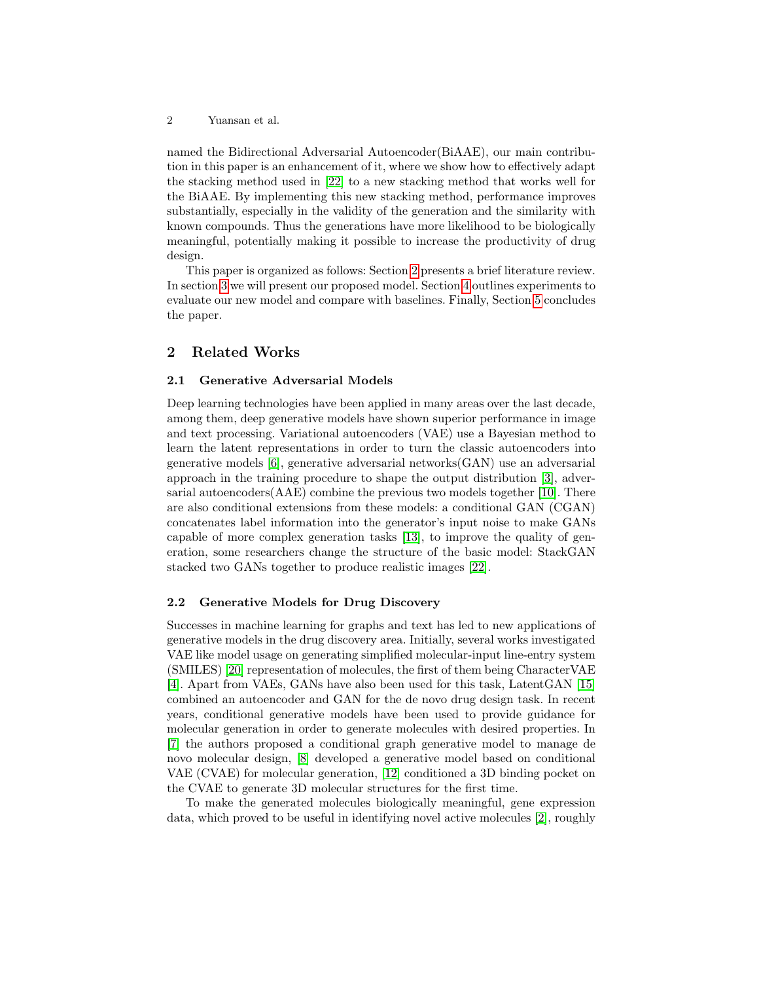2 Yuansan et al.

named the Bidirectional Adversarial Autoencoder(BiAAE), our main contribution in this paper is an enhancement of it, where we show how to effectively adapt the stacking method used in [\[22\]](#page-11-2) to a new stacking method that works well for the BiAAE. By implementing this new stacking method, performance improves substantially, especially in the validity of the generation and the similarity with known compounds. Thus the generations have more likelihood to be biologically meaningful, potentially making it possible to increase the productivity of drug design.

This paper is organized as follows: Section [2](#page-1-0) presents a brief literature review. In section [3](#page-2-0) we will present our proposed model. Section [4](#page-5-0) outlines experiments to evaluate our new model and compare with baselines. Finally, Section [5](#page-10-0) concludes the paper.

## <span id="page-1-0"></span>2 Related Works

# 2.1 Generative Adversarial Models

Deep learning technologies have been applied in many areas over the last decade, among them, deep generative models have shown superior performance in image and text processing. Variational autoencoders (VAE) use a Bayesian method to learn the latent representations in order to turn the classic autoencoders into generative models [\[6\]](#page-10-1), generative adversarial networks(GAN) use an adversarial approach in the training procedure to shape the output distribution [\[3\]](#page-10-2), adversarial autoencoders(AAE) combine the previous two models together [\[10\]](#page-11-3). There are also conditional extensions from these models: a conditional GAN (CGAN) concatenates label information into the generator's input noise to make GANs capable of more complex generation tasks [\[13\]](#page-11-4), to improve the quality of generation, some researchers change the structure of the basic model: StackGAN stacked two GANs together to produce realistic images [\[22\]](#page-11-2).

#### 2.2 Generative Models for Drug Discovery

Successes in machine learning for graphs and text has led to new applications of generative models in the drug discovery area. Initially, several works investigated VAE like model usage on generating simplified molecular-input line-entry system (SMILES) [\[20\]](#page-11-5) representation of molecules, the first of them being CharacterVAE [\[4\]](#page-10-3). Apart from VAEs, GANs have also been used for this task, LatentGAN [\[15\]](#page-11-6) combined an autoencoder and GAN for the de novo drug design task. In recent years, conditional generative models have been used to provide guidance for molecular generation in order to generate molecules with desired properties. In [\[7\]](#page-10-4) the authors proposed a conditional graph generative model to manage de novo molecular design, [\[8\]](#page-11-7) developed a generative model based on conditional VAE (CVAE) for molecular generation, [\[12\]](#page-11-8) conditioned a 3D binding pocket on the CVAE to generate 3D molecular structures for the first time.

To make the generated molecules biologically meaningful, gene expression data, which proved to be useful in identifying novel active molecules [\[2\]](#page-10-5), roughly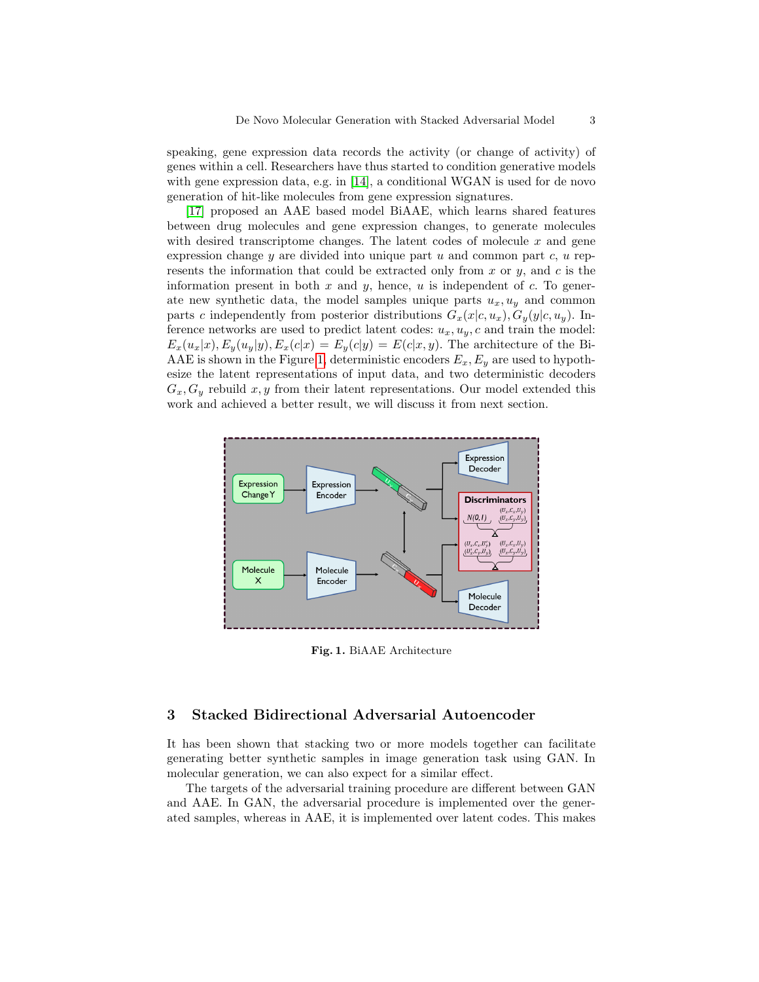speaking, gene expression data records the activity (or change of activity) of genes within a cell. Researchers have thus started to condition generative models with gene expression data, e.g. in [\[14\]](#page-11-9), a conditional WGAN is used for de novo generation of hit-like molecules from gene expression signatures.

[\[17\]](#page-11-1) proposed an AAE based model BiAAE, which learns shared features between drug molecules and gene expression changes, to generate molecules with desired transcriptome changes. The latent codes of molecule  $x$  and gene expression change  $y$  are divided into unique part  $u$  and common part  $c, u$  represents the information that could be extracted only from x or  $y$ , and c is the information present in both  $x$  and  $y$ , hence,  $u$  is independent of  $c$ . To generate new synthetic data, the model samples unique parts  $u_x, u_y$  and common parts c independently from posterior distributions  $G_x(x|c, u_x), G_y(y|c, u_y)$ . Inference networks are used to predict latent codes:  $u_x, u_y, c$  and train the model:  $E_x(u_x|x), E_y(u_y|y), E_x(c|x) = E_y(c|y) = E(c|x, y)$ . The architecture of the Bi-AAE is shown in the Figure [1,](#page-2-1) deterministic encoders  $E_x, E_y$  are used to hypothesize the latent representations of input data, and two deterministic decoders  $G_x, G_y$  rebuild x, y from their latent representations. Our model extended this work and achieved a better result, we will discuss it from next section.



<span id="page-2-1"></span>Fig. 1. BiAAE Architecture

# <span id="page-2-0"></span>3 Stacked Bidirectional Adversarial Autoencoder

It has been shown that stacking two or more models together can facilitate generating better synthetic samples in image generation task using GAN. In molecular generation, we can also expect for a similar effect.

The targets of the adversarial training procedure are different between GAN and AAE. In GAN, the adversarial procedure is implemented over the generated samples, whereas in AAE, it is implemented over latent codes. This makes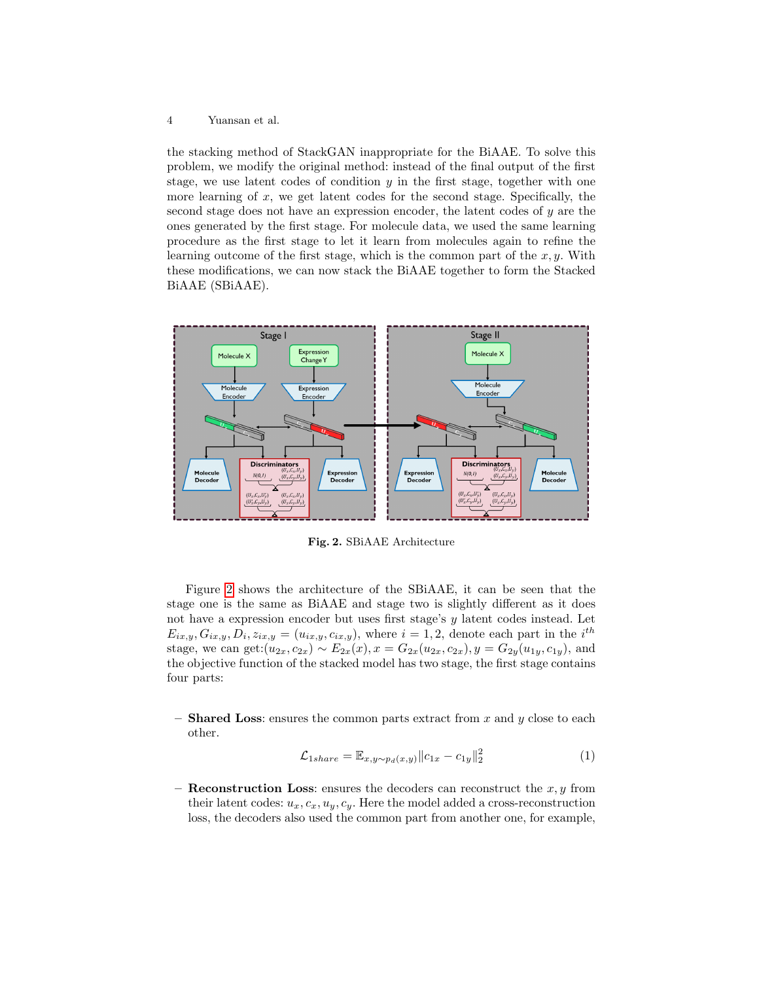#### 4 Yuansan et al.

the stacking method of StackGAN inappropriate for the BiAAE. To solve this problem, we modify the original method: instead of the final output of the first stage, we use latent codes of condition  $y$  in the first stage, together with one more learning of  $x$ , we get latent codes for the second stage. Specifically, the second stage does not have an expression encoder, the latent codes of y are the ones generated by the first stage. For molecule data, we used the same learning procedure as the first stage to let it learn from molecules again to refine the learning outcome of the first stage, which is the common part of the  $x, y$ . With these modifications, we can now stack the BiAAE together to form the Stacked BiAAE (SBiAAE).



<span id="page-3-0"></span>Fig. 2. SBiAAE Architecture

Figure [2](#page-3-0) shows the architecture of the SBiAAE, it can be seen that the stage one is the same as BiAAE and stage two is slightly different as it does not have a expression encoder but uses first stage's y latent codes instead. Let  $E_{ix,y}, G_{ix,y}, D_i, z_{ix,y} = (u_{ix,y}, c_{ix,y}),$  where  $i = 1, 2$ , denote each part in the  $i^{th}$ stage, we can get: $(u_{2x}, c_{2x}) \sim E_{2x}(x), x = G_{2x}(u_{2x}, c_{2x}), y = G_{2y}(u_{1y}, c_{1y}),$  and the objective function of the stacked model has two stage, the first stage contains four parts:

– **Shared Loss:** ensures the common parts extract from x and y close to each other.

<span id="page-3-1"></span>
$$
\mathcal{L}_{1share} = \mathbb{E}_{x,y \sim p_d(x,y)} \|c_{1x} - c_{1y}\|_2^2 \tag{1}
$$

– **Reconstruction Loss:** ensures the decoders can reconstruct the  $x, y$  from their latent codes:  $u_x, c_x, u_y, c_y$ . Here the model added a cross-reconstruction loss, the decoders also used the common part from another one, for example,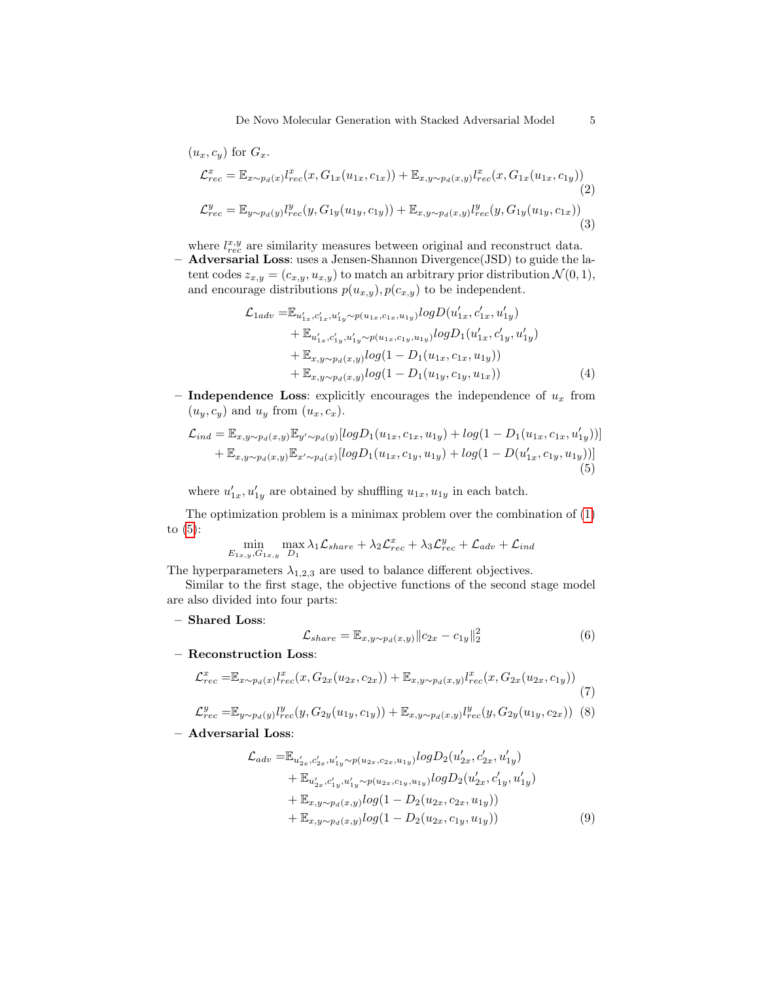$$
(u_x, c_y) \text{ for } G_x.
$$
  
\n
$$
\mathcal{L}_{rec}^x = \mathbb{E}_{x \sim p_d(x)} l_{rec}^x(x, G_{1x}(u_{1x}, c_{1x})) + \mathbb{E}_{x, y \sim p_d(x,y)} l_{rec}^x(x, G_{1x}(u_{1x}, c_{1y}))
$$
  
\n
$$
\mathcal{L}_{rec}^y = \mathbb{E}_{y \sim p_d(y)} l_{rec}^y(y, G_{1y}(u_{1y}, c_{1y})) + \mathbb{E}_{x, y \sim p_d(x,y)} l_{rec}^y(y, G_{1y}(u_{1y}, c_{1x}))
$$
  
\n(3)

where  $l_{rec}^{x,y}$  are similarity measures between original and reconstruct data.

– Adversarial Loss: uses a Jensen-Shannon Divergence(JSD) to guide the latent codes  $z_{x,y} = (c_{x,y}, u_{x,y})$  to match an arbitrary prior distribution  $\mathcal{N}(0, 1)$ , and encourage distributions  $p(u_{x,y}), p(c_{x,y})$  to be independent.

$$
\mathcal{L}_{1adv} = \mathbb{E}_{u'_{1x}, c'_{1x}, u'_{1y} \sim p(u_{1x}, c_{1x}, u_{1y})} log D(u'_{1x}, c'_{1x}, u'_{1y}) \n+ \mathbb{E}_{u'_{1x}, c'_{1y}, u'_{1y} \sim p(u_{1x}, c_{1y}, u_{1y})} log D_1(u'_{1x}, c'_{1y}, u'_{1y}) \n+ \mathbb{E}_{x, y \sim p_d(x,y)} log(1 - D_1(u_{1x}, c_{1x}, u_{1y})) \n+ \mathbb{E}_{x, y \sim p_d(x,y)} log(1 - D_1(u_{1y}, c_{1y}, u_{1x}))
$$
\n(4)

– Independence Loss: explicitly encourages the independence of  $u_x$  from  $(u_y, c_y)$  and  $u_y$  from  $(u_x, c_x)$ .

$$
\mathcal{L}_{ind} = \mathbb{E}_{x,y \sim p_d(x,y)} \mathbb{E}_{y' \sim p_d(y)} [log D_1(u_{1x}, c_{1x}, u_{1y}) + log(1 - D_1(u_{1x}, c_{1x}, u'_{1y}))]
$$
  
+  $\mathbb{E}_{x,y \sim p_d(x,y)} \mathbb{E}_{x' \sim p_d(x)} [log D_1(u_{1x}, c_{1y}, u_{1y}) + log(1 - D(u'_{1x}, c_{1y}, u_{1y}))]$ (5)

where  $u'_{1x}, u'_{1y}$  are obtained by shuffling  $u_{1x}, u_{1y}$  in each batch.

The optimization problem is a minimax problem over the combination of [\(1\)](#page-3-1) to  $(5)$ :

$$
\min_{E_{1x,y}, G_{1x,y}} \max_{D_1} \lambda_1 \mathcal{L}_{share} + \lambda_2 \mathcal{L}_{rec}^x + \lambda_3 \mathcal{L}_{rec}^y + \mathcal{L}_{adv} + \mathcal{L}_{ind}
$$

The hyperparameters  $\lambda_{1,2,3}$  are used to balance different objectives.

Similar to the first stage, the objective functions of the second stage model are also divided into four parts:

– Shared Loss:

<span id="page-4-1"></span><span id="page-4-0"></span>
$$
\mathcal{L}_{share} = \mathbb{E}_{x,y \sim p_d(x,y)} ||c_{2x} - c_{1y}||_2^2
$$
\n(6)

– Reconstruction Loss:

$$
\mathcal{L}_{rec}^{x} = \mathbb{E}_{x \sim p_d(x)} l_{rec}^{x}(x, G_{2x}(u_{2x}, c_{2x})) + \mathbb{E}_{x, y \sim p_d(x,y)} l_{rec}^{x}(x, G_{2x}(u_{2x}, c_{1y}))
$$
\n(7)\n
$$
\mathcal{L}_{y}^{y} = \mathbb{E}_{x \sim p_d(x)} l_{yz}(u, G_{2x}(u_{2x}, c_{2x})) + \mathbb{E}_{x \sim p_d(x)} l_{yz}(u, G_{2x}(u_{2x}, c_{2x}))
$$
\n(8)

$$
\mathcal{L}_{rec}^{y} = \mathbb{E}_{y \sim p_d(y)} l_{rec}^{y}(y, G_{2y}(u_{1y}, c_{1y})) + \mathbb{E}_{x, y \sim p_d(x,y)} l_{rec}^{y}(y, G_{2y}(u_{1y}, c_{2x}))
$$
(8)

– Adversarial Loss:

$$
\mathcal{L}_{adv} = \mathbb{E}_{u'_{2x}, c'_{2x}, u'_{1y} \sim p(u_{2x}, c_{2x}, u_{1y})} log D_2(u'_{2x}, c'_{2x}, u'_{1y}) \n+ \mathbb{E}_{u'_{2x}, c'_{1y}, u'_{1y} \sim p(u_{2x}, c_{1y}, u_{1y})} log D_2(u'_{2x}, c'_{1y}, u'_{1y}) \n+ \mathbb{E}_{x, y \sim p_d(x, y)} log (1 - D_2(u_{2x}, c_{2x}, u_{1y})) \n+ \mathbb{E}_{x, y \sim p_d(x, y)} log (1 - D_2(u_{2x}, c_{1y}, u_{1y}))
$$
\n(9)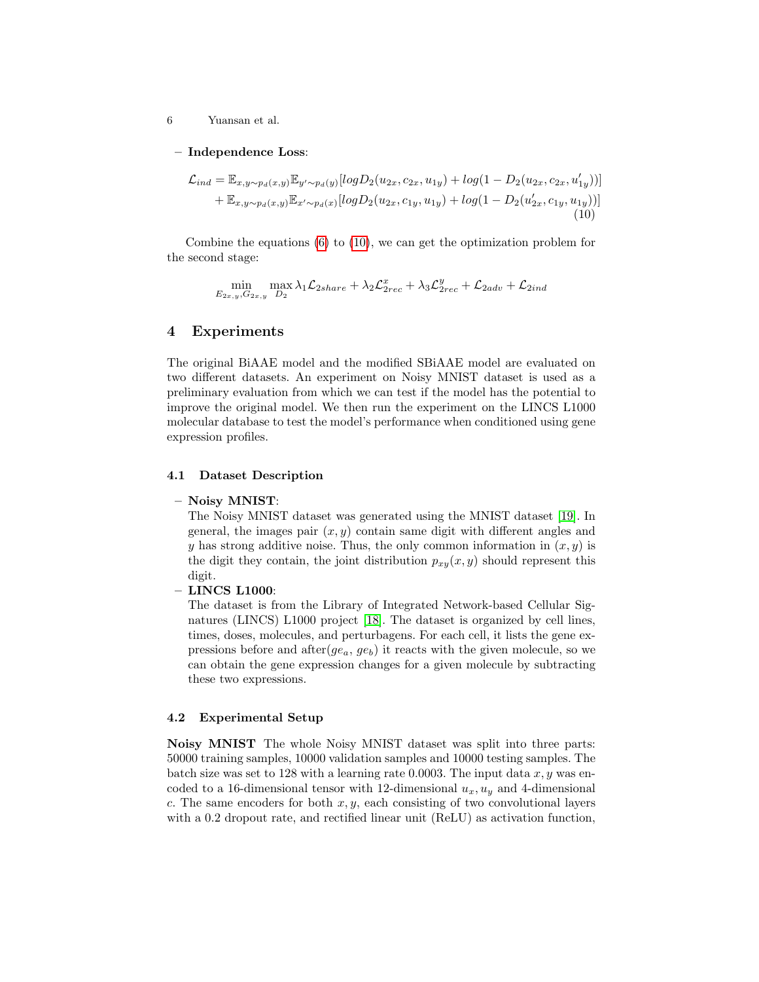6 Yuansan et al.

– Independence Loss:

$$
\mathcal{L}_{ind} = \mathbb{E}_{x,y \sim p_d(x,y)} \mathbb{E}_{y' \sim p_d(y)} [log D_2(u_{2x}, c_{2x}, u_{1y}) + log(1 - D_2(u_{2x}, c_{2x}, u'_{1y}))]
$$
  
+  $\mathbb{E}_{x,y \sim p_d(x,y)} \mathbb{E}_{x' \sim p_d(x)} [log D_2(u_{2x}, c_{1y}, u_{1y}) + log(1 - D_2(u'_{2x}, c_{1y}, u_{1y}))]$   
(10)

Combine the equations  $(6)$  to  $(10)$ , we can get the optimization problem for the second stage:

<span id="page-5-1"></span>
$$
\min_{E_{2x,y},G_{2x,y}} \max_{D_2} \lambda_1 \mathcal{L}_{2share} + \lambda_2 \mathcal{L}_{2rec}^x + \lambda_3 \mathcal{L}_{2rec}^y + \mathcal{L}_{2adv} + \mathcal{L}_{2ind}
$$

## <span id="page-5-0"></span>4 Experiments

The original BiAAE model and the modified SBiAAE model are evaluated on two different datasets. An experiment on Noisy MNIST dataset is used as a preliminary evaluation from which we can test if the model has the potential to improve the original model. We then run the experiment on the LINCS L1000 molecular database to test the model's performance when conditioned using gene expression profiles.

#### 4.1 Dataset Description

#### – Noisy MNIST:

The Noisy MNIST dataset was generated using the MNIST dataset [\[19\]](#page-11-10). In general, the images pair  $(x, y)$  contain same digit with different angles and y has strong additive noise. Thus, the only common information in  $(x, y)$  is the digit they contain, the joint distribution  $p_{xy}(x, y)$  should represent this digit.

#### – LINCS L1000:

The dataset is from the Library of Integrated Network-based Cellular Signatures (LINCS) L1000 project [\[18\]](#page-11-11). The dataset is organized by cell lines, times, doses, molecules, and perturbagens. For each cell, it lists the gene expressions before and after $(ge_a, ge_b)$  it reacts with the given molecule, so we can obtain the gene expression changes for a given molecule by subtracting these two expressions.

#### 4.2 Experimental Setup

Noisy MNIST The whole Noisy MNIST dataset was split into three parts: 50000 training samples, 10000 validation samples and 10000 testing samples. The batch size was set to 128 with a learning rate 0.0003. The input data  $x, y$  was encoded to a 16-dimensional tensor with 12-dimensional  $u_x, u_y$  and 4-dimensional c. The same encoders for both  $x, y$ , each consisting of two convolutional layers with a 0.2 dropout rate, and rectified linear unit (ReLU) as activation function,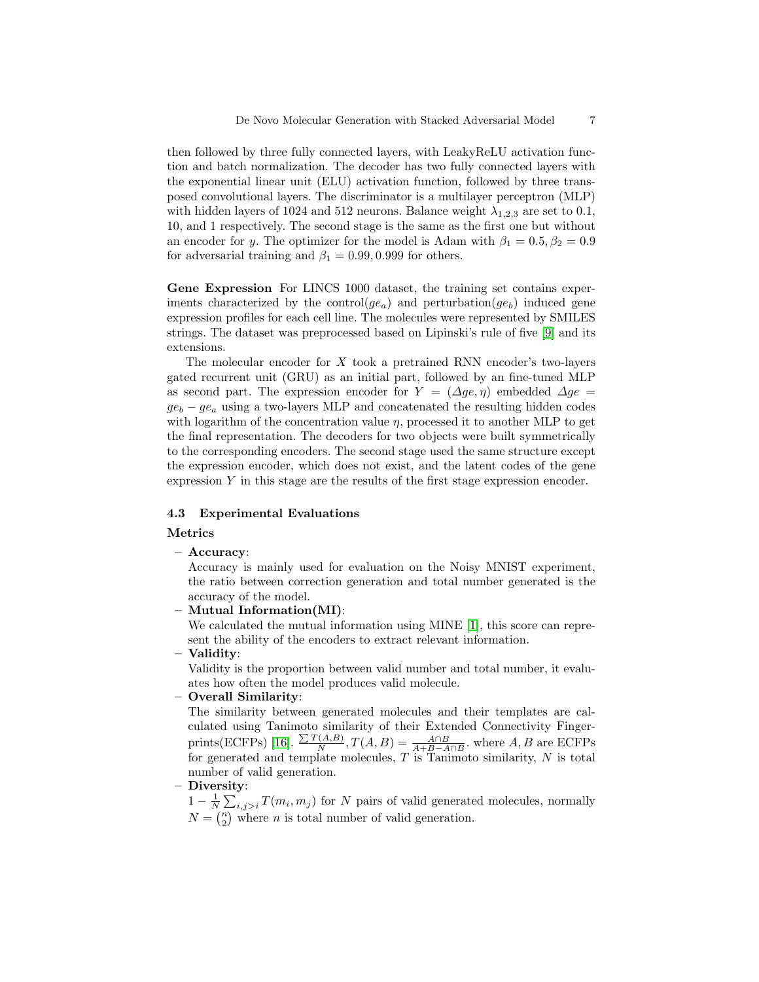then followed by three fully connected layers, with LeakyReLU activation function and batch normalization. The decoder has two fully connected layers with the exponential linear unit (ELU) activation function, followed by three transposed convolutional layers. The discriminator is a multilayer perceptron (MLP) with hidden layers of 1024 and 512 neurons. Balance weight  $\lambda_{1,2,3}$  are set to 0.1, 10, and 1 respectively. The second stage is the same as the first one but without an encoder for y. The optimizer for the model is Adam with  $\beta_1 = 0.5, \beta_2 = 0.9$ for adversarial training and  $\beta_1 = 0.99, 0.999$  for others.

Gene Expression For LINCS 1000 dataset, the training set contains experiments characterized by the control( $ge_a$ ) and perturbation( $ge_b$ ) induced gene expression profiles for each cell line. The molecules were represented by SMILES strings. The dataset was preprocessed based on Lipinski's rule of five [\[9\]](#page-11-12) and its extensions.

The molecular encoder for X took a pretrained RNN encoder's two-layers gated recurrent unit (GRU) as an initial part, followed by an fine-tuned MLP as second part. The expression encoder for  $Y = (\Delta ge, \eta)$  embedded  $\Delta ge$  $ge_b - ge_a$  using a two-layers MLP and concatenated the resulting hidden codes with logarithm of the concentration value  $\eta$ , processed it to another MLP to get the final representation. The decoders for two objects were built symmetrically to the corresponding encoders. The second stage used the same structure except the expression encoder, which does not exist, and the latent codes of the gene expression  $Y$  in this stage are the results of the first stage expression encoder.

#### 4.3 Experimental Evaluations

#### Metrics

– Accuracy:

Accuracy is mainly used for evaluation on the Noisy MNIST experiment, the ratio between correction generation and total number generated is the accuracy of the model.

– Mutual Information(MI):

We calculated the mutual information using MINE [\[1\]](#page-10-6), this score can represent the ability of the encoders to extract relevant information.

#### – Validity:

Validity is the proportion between valid number and total number, it evaluates how often the model produces valid molecule.

– Overall Similarity:

The similarity between generated molecules and their templates are calculated using Tanimoto similarity of their Extended Connectivity Finger-prints(ECFPs) [\[16\]](#page-11-13).  $\frac{\sum T(A,B)}{N}$  $\frac{N(A,B)}{N}$ ,  $T(A,B) = \frac{A \cap B}{A+B-A \cap B}$ , where  $A, B$  are ECFPs for generated and template molecules,  $T$  is Tanimoto similarity,  $N$  is total number of valid generation.

– Diversity:

 $1 - \frac{1}{N} \sum_{i,j>i} T(m_i, m_j)$  for N pairs of valid generated molecules, normally  $N = \binom{n}{2}$  where *n* is total number of valid generation.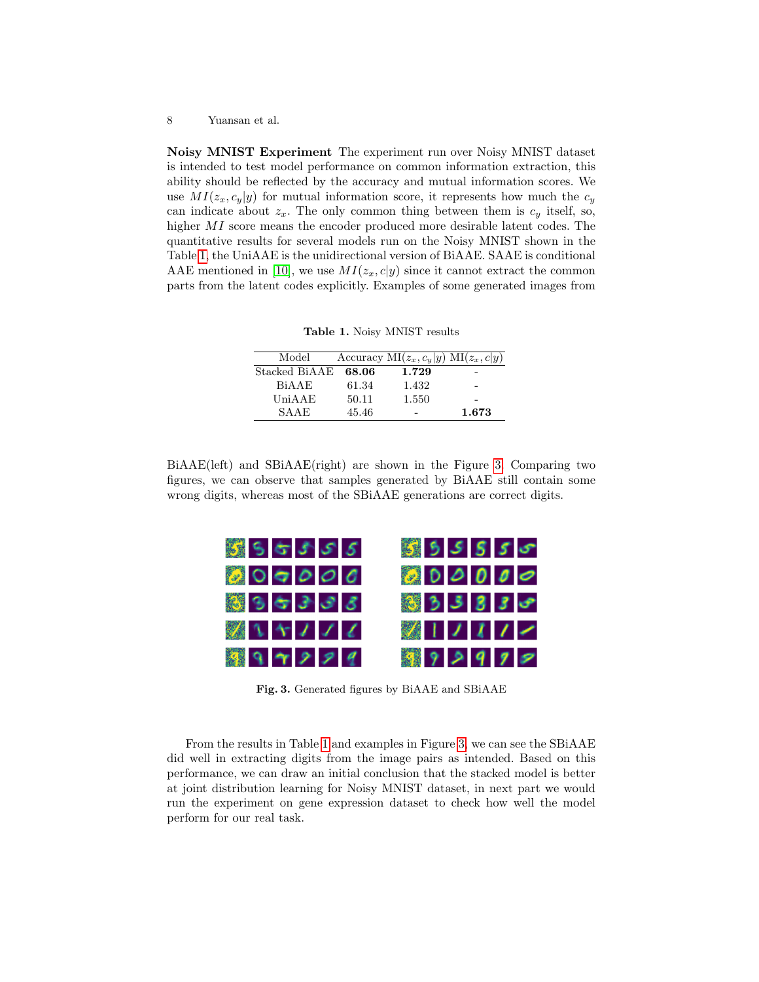Noisy MNIST Experiment The experiment run over Noisy MNIST dataset is intended to test model performance on common information extraction, this ability should be reflected by the accuracy and mutual information scores. We use  $MI(z_x, c_y|y)$  for mutual information score, it represents how much the  $c_y$ can indicate about  $z_x$ . The only common thing between them is  $c_y$  itself, so, higher MI score means the encoder produced more desirable latent codes. The quantitative results for several models run on the Noisy MNIST shown in the Table [1,](#page-7-0) the UniAAE is the unidirectional version of BiAAE. SAAE is conditional AAE mentioned in [\[10\]](#page-11-3), we use  $MI(z_x, c|y)$  since it cannot extract the common parts from the latent codes explicitly. Examples of some generated images from

<span id="page-7-0"></span>Table 1. Noisy MNIST results

| Model              |       | Accuracy MI $(z_x, c_y   y)$ MI $(z_x, c   y)$ |       |
|--------------------|-------|------------------------------------------------|-------|
| Stacked BiAAE      | 68.06 | 1.729                                          |       |
| B <sub>i</sub> AAF | 61.34 | 1.432                                          | -     |
| UniAAE             | 50.11 | 1.550                                          |       |
| SAAE               | 45.46 |                                                | 1.673 |

BiAAE(left) and SBiAAE(right) are shown in the Figure [3.](#page-7-1) Comparing two figures, we can observe that samples generated by BiAAE still contain some wrong digits, whereas most of the SBiAAE generations are correct digits.



<span id="page-7-1"></span>Fig. 3. Generated figures by BiAAE and SBiAAE

From the results in Table [1](#page-7-0) and examples in Figure [3,](#page-7-1) we can see the SBiAAE did well in extracting digits from the image pairs as intended. Based on this performance, we can draw an initial conclusion that the stacked model is better at joint distribution learning for Noisy MNIST dataset, in next part we would run the experiment on gene expression dataset to check how well the model perform for our real task.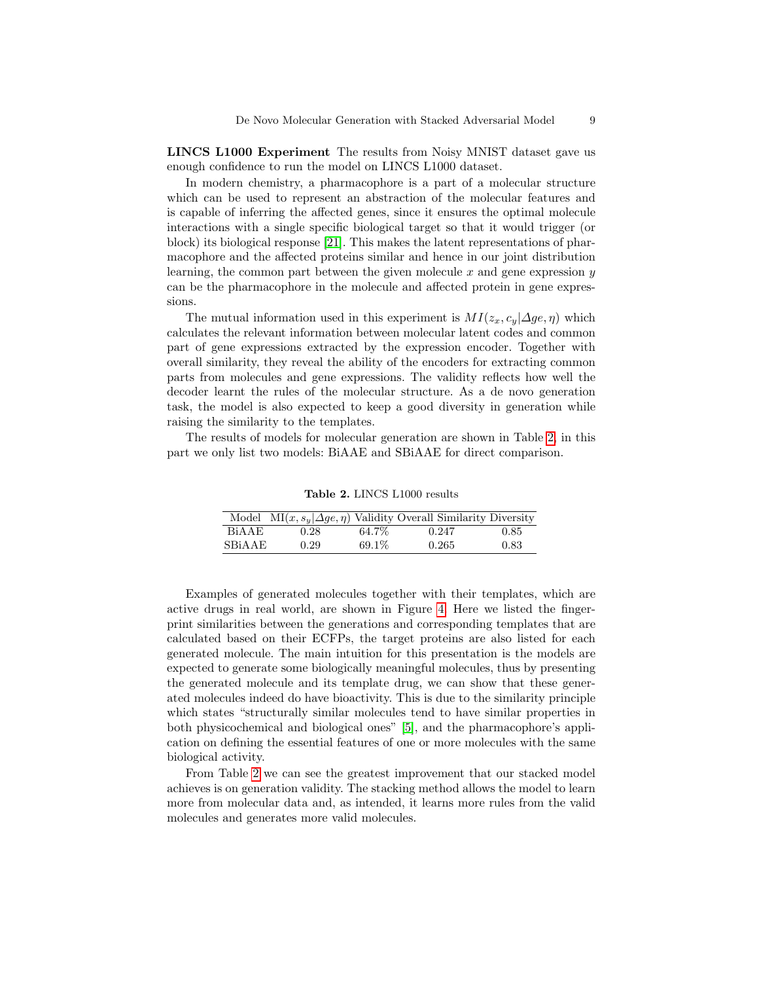LINCS L1000 Experiment The results from Noisy MNIST dataset gave us enough confidence to run the model on LINCS L1000 dataset.

In modern chemistry, a pharmacophore is a part of a molecular structure which can be used to represent an abstraction of the molecular features and is capable of inferring the affected genes, since it ensures the optimal molecule interactions with a single specific biological target so that it would trigger (or block) its biological response [\[21\]](#page-11-14). This makes the latent representations of pharmacophore and the affected proteins similar and hence in our joint distribution learning, the common part between the given molecule  $x$  and gene expression  $y$ can be the pharmacophore in the molecule and affected protein in gene expressions.

The mutual information used in this experiment is  $MI(z_x, c_y | \Delta ge, \eta)$  which calculates the relevant information between molecular latent codes and common part of gene expressions extracted by the expression encoder. Together with overall similarity, they reveal the ability of the encoders for extracting common parts from molecules and gene expressions. The validity reflects how well the decoder learnt the rules of the molecular structure. As a de novo generation task, the model is also expected to keep a good diversity in generation while raising the similarity to the templates.

The results of models for molecular generation are shown in Table [2,](#page-8-0) in this part we only list two models: BiAAE and SBiAAE for direct comparison.

<span id="page-8-0"></span>Table 2. LINCS L1000 results

|                    |      |        | Model MI $(x, s_y   \Delta ge, \eta)$ Validity Overall Similarity Diversity |      |
|--------------------|------|--------|-----------------------------------------------------------------------------|------|
| B <sub>i</sub> AAF | 0.28 | 64.7%  | 0.247                                                                       | 0.85 |
| <b>SBIAAE</b>      | 0.29 | 69.1\% | 0.265                                                                       | 0.83 |

Examples of generated molecules together with their templates, which are active drugs in real world, are shown in Figure [4.](#page-9-0) Here we listed the fingerprint similarities between the generations and corresponding templates that are calculated based on their ECFPs, the target proteins are also listed for each generated molecule. The main intuition for this presentation is the models are expected to generate some biologically meaningful molecules, thus by presenting the generated molecule and its template drug, we can show that these generated molecules indeed do have bioactivity. This is due to the similarity principle which states "structurally similar molecules tend to have similar properties in both physicochemical and biological ones" [\[5\]](#page-10-7), and the pharmacophore's application on defining the essential features of one or more molecules with the same biological activity.

From Table [2](#page-8-0) we can see the greatest improvement that our stacked model achieves is on generation validity. The stacking method allows the model to learn more from molecular data and, as intended, it learns more rules from the valid molecules and generates more valid molecules.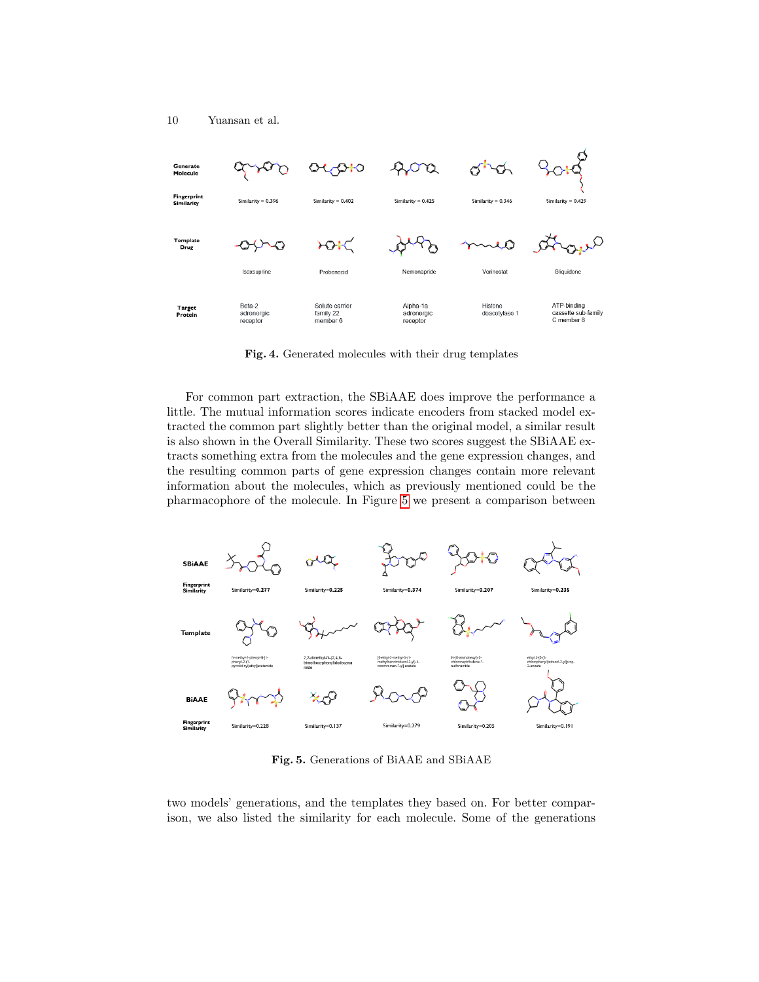

<span id="page-9-0"></span>Fig. 4. Generated molecules with their drug templates

For common part extraction, the SBiAAE does improve the performance a little. The mutual information scores indicate encoders from stacked model extracted the common part slightly better than the original model, a similar result is also shown in the Overall Similarity. These two scores suggest the SBiAAE extracts something extra from the molecules and the gene expression changes, and the resulting common parts of gene expression changes contain more relevant information about the molecules, which as previously mentioned could be the pharmacophore of the molecule. In Figure [5](#page-9-1) we present a comparison between



<span id="page-9-1"></span>Fig. 5. Generations of BiAAE and SBiAAE

two models' generations, and the templates they based on. For better comparison, we also listed the similarity for each molecule. Some of the generations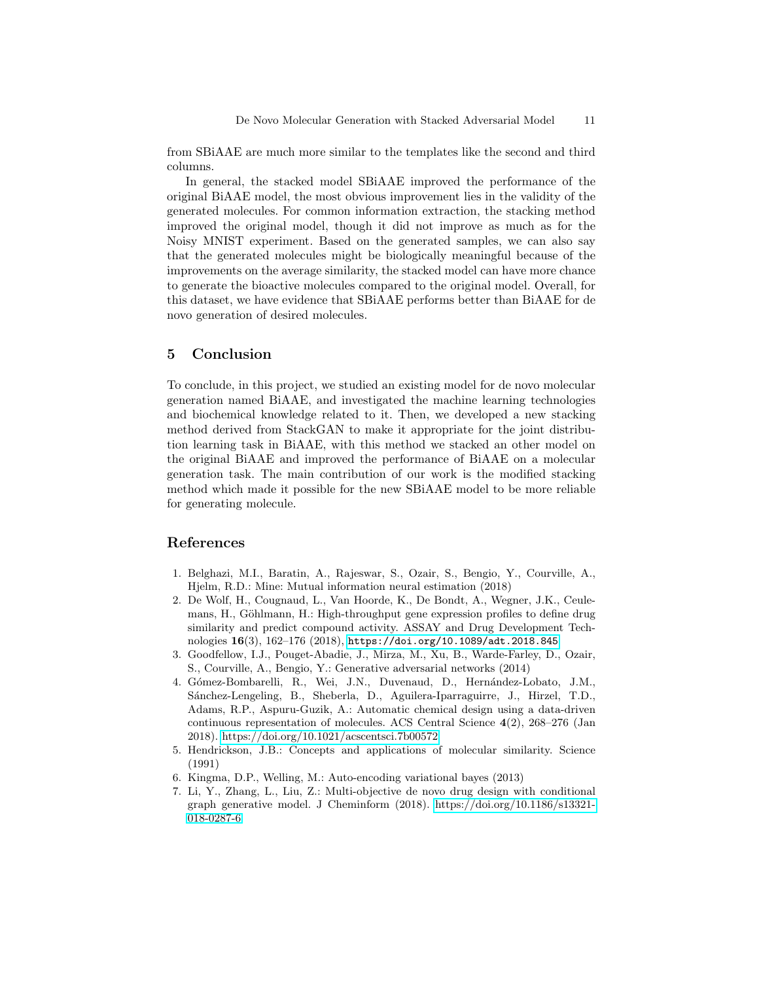from SBiAAE are much more similar to the templates like the second and third columns.

In general, the stacked model SBiAAE improved the performance of the original BiAAE model, the most obvious improvement lies in the validity of the generated molecules. For common information extraction, the stacking method improved the original model, though it did not improve as much as for the Noisy MNIST experiment. Based on the generated samples, we can also say that the generated molecules might be biologically meaningful because of the improvements on the average similarity, the stacked model can have more chance to generate the bioactive molecules compared to the original model. Overall, for this dataset, we have evidence that SBiAAE performs better than BiAAE for de novo generation of desired molecules.

# <span id="page-10-0"></span>5 Conclusion

To conclude, in this project, we studied an existing model for de novo molecular generation named BiAAE, and investigated the machine learning technologies and biochemical knowledge related to it. Then, we developed a new stacking method derived from StackGAN to make it appropriate for the joint distribution learning task in BiAAE, with this method we stacked an other model on the original BiAAE and improved the performance of BiAAE on a molecular generation task. The main contribution of our work is the modified stacking method which made it possible for the new SBiAAE model to be more reliable for generating molecule.

### References

- <span id="page-10-6"></span>1. Belghazi, M.I., Baratin, A., Rajeswar, S., Ozair, S., Bengio, Y., Courville, A., Hjelm, R.D.: Mine: Mutual information neural estimation (2018)
- <span id="page-10-5"></span>2. De Wolf, H., Cougnaud, L., Van Hoorde, K., De Bondt, A., Wegner, J.K., Ceulemans, H., Göhlmann, H.: High-throughput gene expression profiles to define drug similarity and predict compound activity. ASSAY and Drug Development Technologies 16(3), 162–176 (2018), <https://doi.org/10.1089/adt.2018.845>
- <span id="page-10-2"></span>3. Goodfellow, I.J., Pouget-Abadie, J., Mirza, M., Xu, B., Warde-Farley, D., Ozair, S., Courville, A., Bengio, Y.: Generative adversarial networks (2014)
- <span id="page-10-3"></span>4. Gómez-Bombarelli, R., Wei, J.N., Duvenaud, D., Hernández-Lobato, J.M., Sánchez-Lengeling, B., Sheberla, D., Aguilera-Iparraguirre, J., Hirzel, T.D., Adams, R.P., Aspuru-Guzik, A.: Automatic chemical design using a data-driven continuous representation of molecules. ACS Central Science 4(2), 268–276 (Jan 2018).<https://doi.org/10.1021/acscentsci.7b00572>
- <span id="page-10-7"></span>5. Hendrickson, J.B.: Concepts and applications of molecular similarity. Science (1991)
- <span id="page-10-1"></span>6. Kingma, D.P., Welling, M.: Auto-encoding variational bayes (2013)
- <span id="page-10-4"></span>7. Li, Y., Zhang, L., Liu, Z.: Multi-objective de novo drug design with conditional graph generative model. J Cheminform (2018). [https://doi.org/10.1186/s13321-](https://doi.org/10.1186/s13321-018-0287-6) [018-0287-6](https://doi.org/10.1186/s13321-018-0287-6)